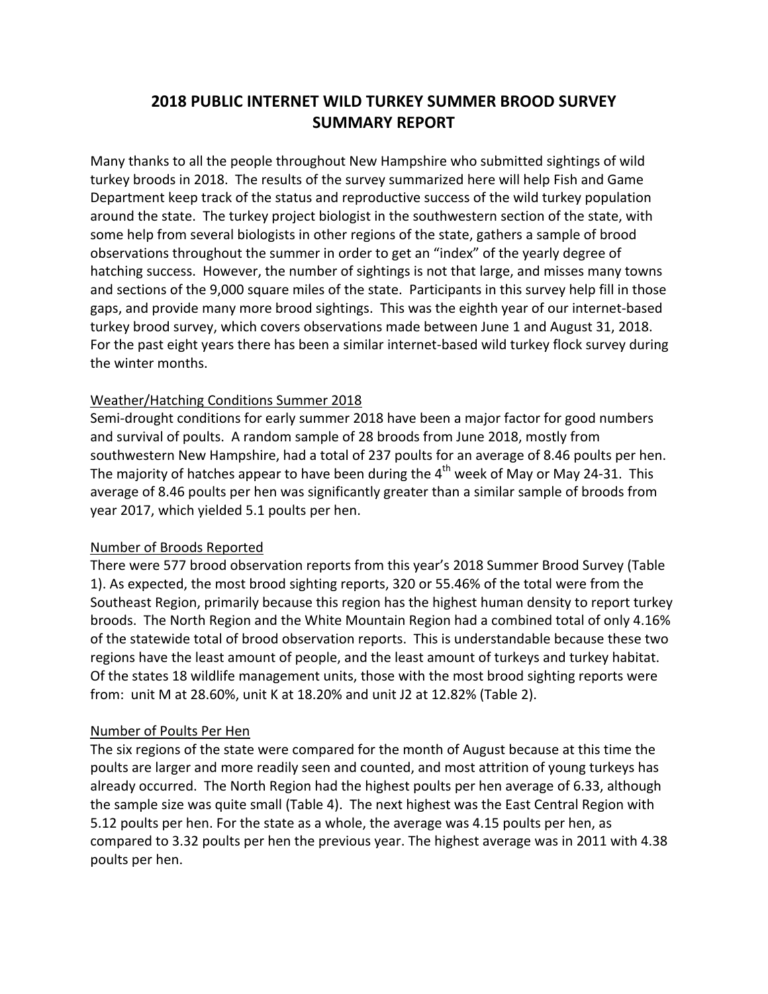# **2018 PUBLIC INTERNET WILD TURKEY SUMMER BROOD SURVEY SUMMARY REPORT**

Many thanks to all the people throughout New Hampshire who submitted sightings of wild turkey broods in 2018. The results of the survey summarized here will help Fish and Game Department keep track of the status and reproductive success of the wild turkey population around the state. The turkey project biologist in the southwestern section of the state, with some help from several biologists in other regions of the state, gathers a sample of brood observations throughout the summer in order to get an "index" of the yearly degree of hatching success. However, the number of sightings is not that large, and misses many towns and sections of the 9,000 square miles of the state. Participants in this survey help fill in those gaps, and provide many more brood sightings. This was the eighth year of our internet‐based turkey brood survey, which covers observations made between June 1 and August 31, 2018. For the past eight years there has been a similar internet‐based wild turkey flock survey during the winter months.

#### Weather/Hatching Conditions Summer 2018

Semi‐drought conditions for early summer 2018 have been a major factor for good numbers and survival of poults. A random sample of 28 broods from June 2018, mostly from southwestern New Hampshire, had a total of 237 poults for an average of 8.46 poults per hen. The majority of hatches appear to have been during the  $4<sup>th</sup>$  week of May or May 24-31. This average of 8.46 poults per hen was significantly greater than a similar sample of broods from year 2017, which yielded 5.1 poults per hen.

#### Number of Broods Reported

There were 577 brood observation reports from this year's 2018 Summer Brood Survey (Table 1). As expected, the most brood sighting reports, 320 or 55.46% of the total were from the Southeast Region, primarily because this region has the highest human density to report turkey broods. The North Region and the White Mountain Region had a combined total of only 4.16% of the statewide total of brood observation reports. This is understandable because these two regions have the least amount of people, and the least amount of turkeys and turkey habitat. Of the states 18 wildlife management units, those with the most brood sighting reports were from: unit M at 28.60%, unit K at 18.20% and unit J2 at 12.82% (Table 2).

#### Number of Poults Per Hen

The six regions of the state were compared for the month of August because at this time the poults are larger and more readily seen and counted, and most attrition of young turkeys has already occurred. The North Region had the highest poults per hen average of 6.33, although the sample size was quite small (Table 4). The next highest was the East Central Region with 5.12 poults per hen. For the state as a whole, the average was 4.15 poults per hen, as compared to 3.32 poults per hen the previous year. The highest average was in 2011 with 4.38 poults per hen.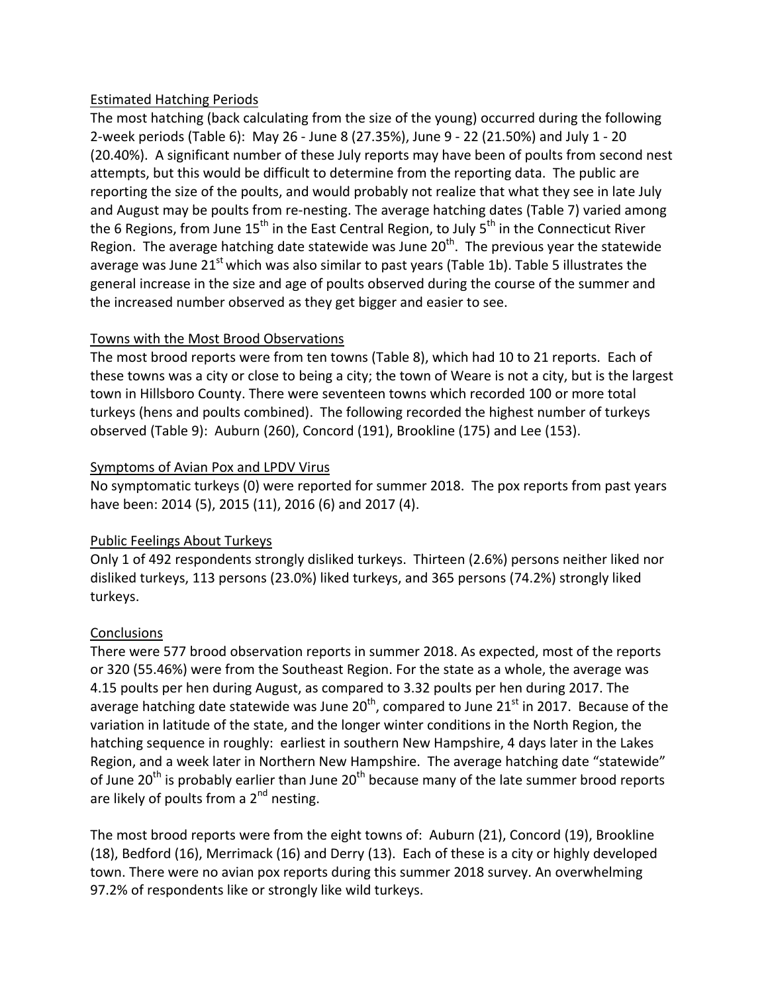#### Estimated Hatching Periods

The most hatching (back calculating from the size of the young) occurred during the following 2‐week periods (Table 6): May 26 ‐ June 8 (27.35%), June 9 ‐ 22 (21.50%) and July 1 ‐ 20 (20.40%). A significant number of these July reports may have been of poults from second nest attempts, but this would be difficult to determine from the reporting data. The public are reporting the size of the poults, and would probably not realize that what they see in late July and August may be poults from re-nesting. The average hatching dates (Table 7) varied among the 6 Regions, from June 15<sup>th</sup> in the East Central Region, to July 5<sup>th</sup> in the Connecticut River Region. The average hatching date statewide was June  $20<sup>th</sup>$ . The previous year the statewide average was June  $21^{st}$  which was also similar to past years (Table 1b). Table 5 illustrates the general increase in the size and age of poults observed during the course of the summer and the increased number observed as they get bigger and easier to see.

## Towns with the Most Brood Observations

The most brood reports were from ten towns (Table 8), which had 10 to 21 reports. Each of these towns was a city or close to being a city; the town of Weare is not a city, but is the largest town in Hillsboro County. There were seventeen towns which recorded 100 or more total turkeys (hens and poults combined). The following recorded the highest number of turkeys observed (Table 9): Auburn (260), Concord (191), Brookline (175) and Lee (153).

## Symptoms of Avian Pox and LPDV Virus

No symptomatic turkeys (0) were reported for summer 2018. The pox reports from past years have been: 2014 (5), 2015 (11), 2016 (6) and 2017 (4).

## Public Feelings About Turkeys

Only 1 of 492 respondents strongly disliked turkeys. Thirteen (2.6%) persons neither liked nor disliked turkeys, 113 persons (23.0%) liked turkeys, and 365 persons (74.2%) strongly liked turkeys.

## **Conclusions**

There were 577 brood observation reports in summer 2018. As expected, most of the reports or 320 (55.46%) were from the Southeast Region. For the state as a whole, the average was 4.15 poults per hen during August, as compared to 3.32 poults per hen during 2017. The average hatching date statewide was June  $20^{th}$ , compared to June  $21^{st}$  in 2017. Because of the variation in latitude of the state, and the longer winter conditions in the North Region, the hatching sequence in roughly: earliest in southern New Hampshire, 4 days later in the Lakes Region, and a week later in Northern New Hampshire. The average hatching date "statewide" of June 20<sup>th</sup> is probably earlier than June  $20<sup>th</sup>$  because many of the late summer brood reports are likely of poults from a  $2^{nd}$  nesting.

The most brood reports were from the eight towns of: Auburn (21), Concord (19), Brookline (18), Bedford (16), Merrimack (16) and Derry (13). Each of these is a city or highly developed town. There were no avian pox reports during this summer 2018 survey. An overwhelming 97.2% of respondents like or strongly like wild turkeys.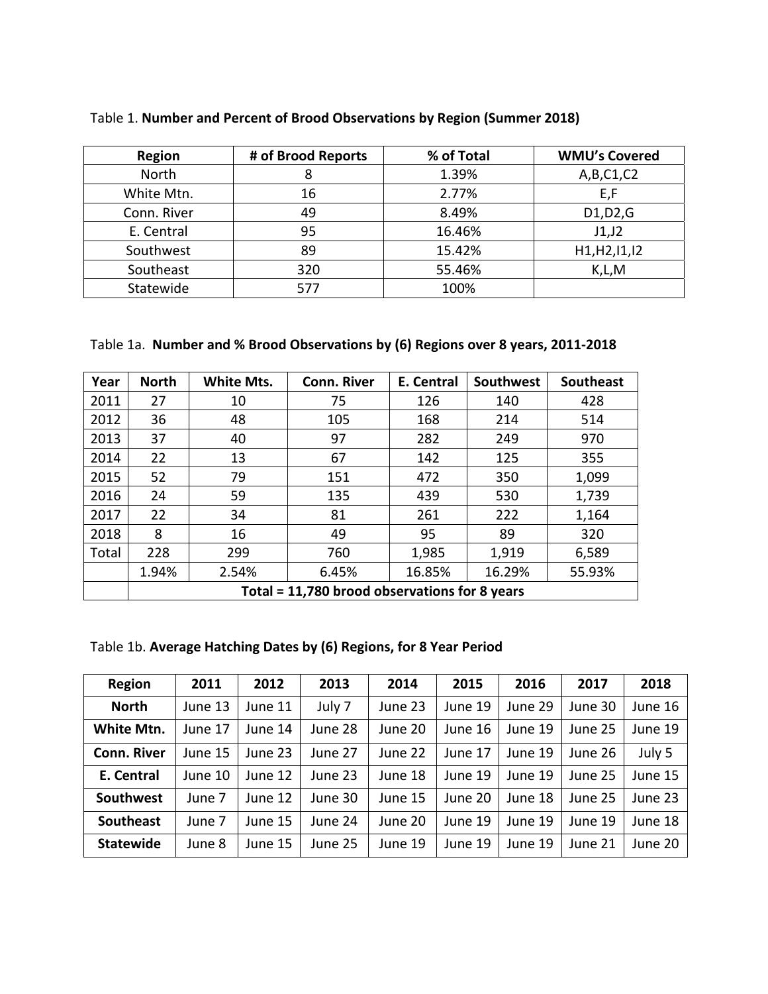| <b>Region</b> | # of Brood Reports | % of Total | <b>WMU's Covered</b> |
|---------------|--------------------|------------|----------------------|
| <b>North</b>  |                    | 1.39%      | A,B,C1,C2            |
| White Mtn.    | 16                 | 2.77%      | E,F                  |
| Conn. River   | 49                 | 8.49%      | D1, D2, G            |
| E. Central    | 95                 | 16.46%     | J1,J2                |
| Southwest     | 89                 | 15.42%     | H1, H2, I1, I2       |
| Southeast     | 320                | 55.46%     | K,L,M                |
| Statewide     | 577                | 100%       |                      |

#### Table 1. **Number and Percent of Brood Observations by Region (Summer 2018)**

#### Table 1a. **Number and % Brood Observations by (6) Regions over 8 years, 2011‐2018**

| Year  | <b>North</b>                                  | White Mts. | <b>Conn. River</b> | E. Central | Southwest | <b>Southeast</b> |  |
|-------|-----------------------------------------------|------------|--------------------|------------|-----------|------------------|--|
| 2011  | 27                                            | 10         | 75                 | 126        | 140       | 428              |  |
| 2012  | 36                                            | 48         | 105                | 168        | 214       | 514              |  |
| 2013  | 37                                            | 40         | 97                 | 282        | 249       | 970              |  |
| 2014  | 22                                            | 13         | 67                 | 142        | 125       | 355              |  |
| 2015  | 52                                            | 79         | 151                | 472        | 350       | 1,099            |  |
| 2016  | 24                                            | 59         | 135                | 439        | 530       | 1,739            |  |
| 2017  | 22                                            | 34         | 81                 | 261        | 222       | 1,164            |  |
| 2018  | 8                                             | 16         | 49                 | 95         | 89        | 320              |  |
| Total | 228                                           | 299        | 760                | 1,985      | 1,919     | 6,589            |  |
|       | 1.94%                                         | 2.54%      | 6.45%              | 16.85%     | 16.29%    | 55.93%           |  |
|       | Total = 11,780 brood observations for 8 years |            |                    |            |           |                  |  |

# Table 1b. **Average Hatching Dates by (6) Regions, for 8 Year Period**

| <b>Region</b>      | 2011    | 2012    | 2013    | 2014    | 2015    | 2016    | 2017    | 2018    |
|--------------------|---------|---------|---------|---------|---------|---------|---------|---------|
| <b>North</b>       | June 13 | June 11 | July 7  | June 23 | June 19 | June 29 | June 30 | June 16 |
| White Mtn.         | June 17 | June 14 | June 28 | June 20 | June 16 | June 19 | June 25 | June 19 |
| <b>Conn. River</b> | June 15 | June 23 | June 27 | June 22 | June 17 | June 19 | June 26 | July 5  |
| E. Central         | June 10 | June 12 | June 23 | June 18 | June 19 | June 19 | June 25 | June 15 |
| <b>Southwest</b>   | June 7  | June 12 | June 30 | June 15 | June 20 | June 18 | June 25 | June 23 |
| <b>Southeast</b>   | June 7  | June 15 | June 24 | June 20 | June 19 | June 19 | June 19 | June 18 |
| <b>Statewide</b>   | June 8  | June 15 | June 25 | June 19 | June 19 | June 19 | June 21 | June 20 |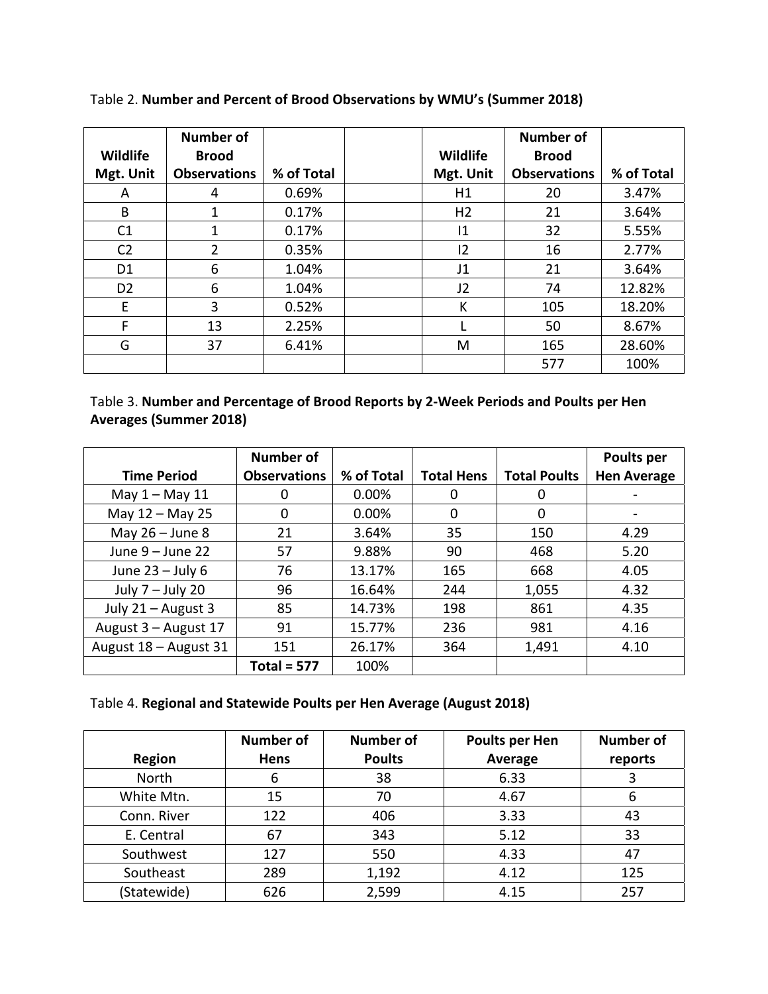|                | Number of           |            |                | <b>Number of</b>    |            |
|----------------|---------------------|------------|----------------|---------------------|------------|
| Wildlife       | <b>Brood</b>        |            | Wildlife       | <b>Brood</b>        |            |
| Mgt. Unit      | <b>Observations</b> | % of Total | Mgt. Unit      | <b>Observations</b> | % of Total |
| A              | 4                   | 0.69%      | H1             | 20                  | 3.47%      |
| B              | 1                   | 0.17%      | H <sub>2</sub> | 21                  | 3.64%      |
| C <sub>1</sub> | 1                   | 0.17%      | 1              | 32                  | 5.55%      |
| C <sub>2</sub> | $\overline{2}$      | 0.35%      | 12             | 16                  | 2.77%      |
| D <sub>1</sub> | 6                   | 1.04%      | J1             | 21                  | 3.64%      |
| D <sub>2</sub> | 6                   | 1.04%      | J2             | 74                  | 12.82%     |
| E              | 3                   | 0.52%      | К              | 105                 | 18.20%     |
| F              | 13                  | 2.25%      |                | 50                  | 8.67%      |
| G              | 37                  | 6.41%      | M              | 165                 | 28.60%     |
|                |                     |            |                | 577                 | 100%       |

Table 2. **Number and Percent of Brood Observations by WMU's (Summer 2018)**

Table 3. **Number and Percentage of Brood Reports by 2‐Week Periods and Poults per Hen Averages (Summer 2018)** 

|                       | <b>Number of</b>    |            |                   |                     | Poults per         |
|-----------------------|---------------------|------------|-------------------|---------------------|--------------------|
| <b>Time Period</b>    | <b>Observations</b> | % of Total | <b>Total Hens</b> | <b>Total Poults</b> | <b>Hen Average</b> |
| May $1 -$ May $11$    | 0                   | 0.00%      | 0                 | 0                   |                    |
| May 12 - May 25       | 0                   | 0.00%      | 0                 | 0                   |                    |
| May $26 -$ June 8     | 21                  | 3.64%      | 35                | 150                 | 4.29               |
| June 9 - June 22      | 57                  | 9.88%      | 90                | 468                 | 5.20               |
| June $23 -$ July 6    | 76                  | 13.17%     | 165               | 668                 | 4.05               |
| July 7 - July 20      | 96                  | 16.64%     | 244               | 1,055               | 4.32               |
| July 21 - August 3    | 85                  | 14.73%     | 198               | 861                 | 4.35               |
| August 3 - August 17  | 91                  | 15.77%     | 236               | 981                 | 4.16               |
| August 18 - August 31 | 151                 | 26.17%     | 364               | 1,491               | 4.10               |
|                       | Total = $577$       | 100%       |                   |                     |                    |

#### Table 4. **Regional and Statewide Poults per Hen Average (August 2018)**

| <b>Region</b> | <b>Number of</b><br>Hens | <b>Number of</b><br><b>Poults</b> | Poults per Hen<br>Average | <b>Number of</b><br>reports |
|---------------|--------------------------|-----------------------------------|---------------------------|-----------------------------|
| North         | 6                        | 38                                | 6.33                      |                             |
| White Mtn.    | 15                       | 70                                | 4.67                      | 6                           |
| Conn. River   | 122                      | 406                               | 3.33                      | 43                          |
| E. Central    | 67                       | 343                               | 5.12                      | 33                          |
| Southwest     | 127                      | 550                               | 4.33                      | 47                          |
| Southeast     | 289                      | 1,192                             | 4.12                      | 125                         |
| (Statewide)   | 626                      | 2,599                             | 4.15                      | 257                         |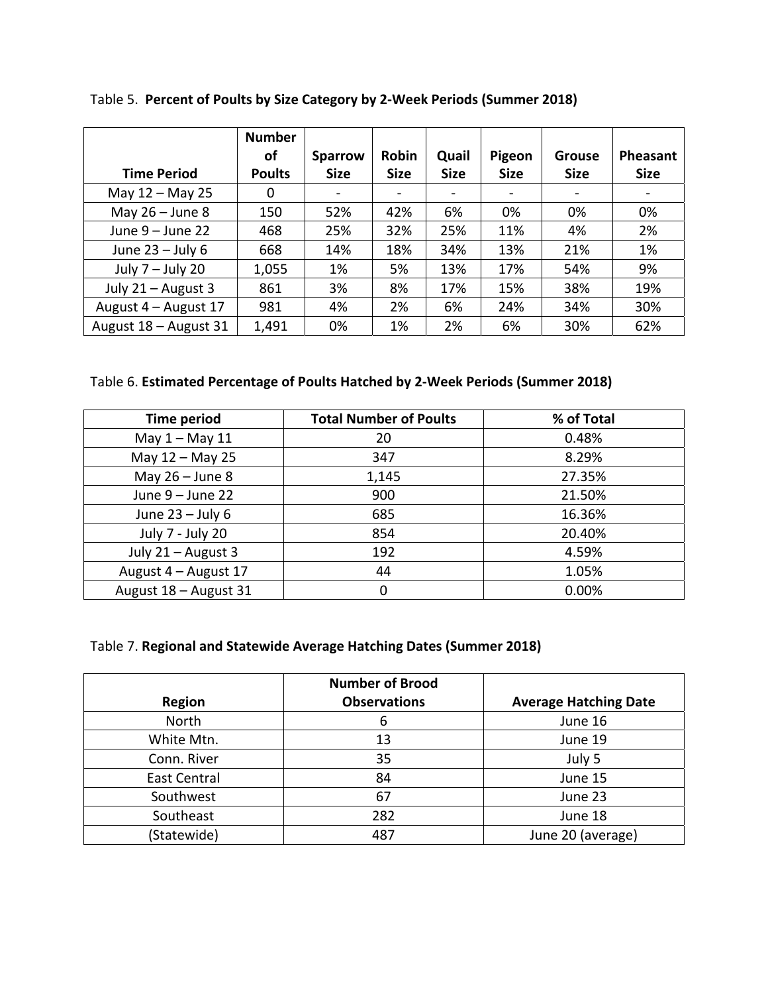|                       | <b>Number</b> |                |             |             |             |               |             |
|-----------------------|---------------|----------------|-------------|-------------|-------------|---------------|-------------|
|                       | οf            | <b>Sparrow</b> | Robin       | Quail       | Pigeon      | <b>Grouse</b> | Pheasant    |
| <b>Time Period</b>    | <b>Poults</b> | <b>Size</b>    | <b>Size</b> | <b>Size</b> | <b>Size</b> | <b>Size</b>   | <b>Size</b> |
| May 12 - May 25       | 0             |                |             |             |             |               |             |
| May $26 -$ June 8     | 150           | 52%            | 42%         | 6%          | 0%          | 0%            | 0%          |
| June $9 -$ June 22    | 468           | 25%            | 32%         | 25%         | 11%         | 4%            | 2%          |
| June $23 -$ July 6    | 668           | 14%            | 18%         | 34%         | 13%         | 21%           | 1%          |
| July $7 -$ July 20    | 1,055         | 1%             | 5%          | 13%         | 17%         | 54%           | 9%          |
| July 21 - August 3    | 861           | 3%             | 8%          | 17%         | 15%         | 38%           | 19%         |
| August 4 - August 17  | 981           | 4%             | 2%          | 6%          | 24%         | 34%           | 30%         |
| August 18 - August 31 | 1,491         | 0%             | 1%          | 2%          | 6%          | 30%           | 62%         |

Table 5. **Percent of Poults by Size Category by 2‐Week Periods (Summer 2018)** 

# Table 6. **Estimated Percentage of Poults Hatched by 2‐Week Periods (Summer 2018)**

| <b>Time period</b>    | <b>Total Number of Poults</b> | % of Total |
|-----------------------|-------------------------------|------------|
| May $1 -$ May $11$    | 20                            | 0.48%      |
| May 12 - May 25       | 347                           | 8.29%      |
| May $26 -$ June 8     | 1,145                         | 27.35%     |
| June $9 -$ June 22    | 900                           | 21.50%     |
| June $23 -$ July 6    | 685                           | 16.36%     |
| July 7 - July 20      | 854                           | 20.40%     |
| July 21 - August 3    | 192                           | 4.59%      |
| August 4 - August 17  | 44                            | 1.05%      |
| August 18 - August 31 | $\Omega$                      | 0.00%      |

# Table 7. **Regional and Statewide Average Hatching Dates (Summer 2018)**

|               | <b>Number of Brood</b> |                              |
|---------------|------------------------|------------------------------|
| <b>Region</b> | <b>Observations</b>    | <b>Average Hatching Date</b> |
| North         | 6                      | June 16                      |
| White Mtn.    | 13                     | June 19                      |
| Conn. River   | 35                     | July 5                       |
| East Central  | 84                     | June 15                      |
| Southwest     | 67                     | June 23                      |
| Southeast     | 282                    | June 18                      |
| (Statewide)   | 487                    | June 20 (average)            |